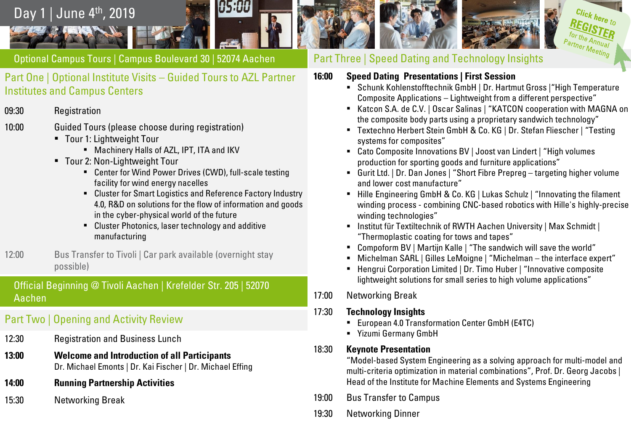

Optional Campus Tours | Campus Boulevard 30 | 52074 Aachen

Part One | Optional Institute Visits – Guided Tours to AZL Partner Institutes and Campus Centers

- 09:30 Registration
- 10:00 Guided Tours (please choose during registration)
	- Tour 1: Lightweight Tour
		- **■** Machinery Halls of AZL, IPT, ITA and IKV
	- Tour 2: Non-Lightweight Tour
		- Center for Wind Power Drives (CWD), full-scale testing facility for wind energy nacelles
		- Cluster for Smart Logistics and Reference Factory Industry 4.0, R&D on solutions for the flow of information and goods in the cyber-physical world of the future
		- **EXECUTE:** Cluster Photonics, laser technology and additive manufacturing
- 12:00 Bus Transfer to Tivoli | Car park available (overnight stay possible)

Official Beginning @ Tivoli Aachen | Krefelder Str. 205 | 52070 Aachen

# Part Two | Opening and Activity Review

- 12:30 Registration and Business Lunch
- **13:00 Welcome and Introduction of all Participants** Dr. Michael Emonts | Dr. Kai Fischer | Dr. Michael Effing
- **14:00 Running Partnership Activities**
- 15:30 Networking Break

Part Three | Speed Dating and Technology Insights

- **16:00 Speed Dating Presentations | First Session**
	- Schunk Kohlenstofftechnik GmbH | Dr. Hartmut Gross |"High Temperature Composite Applications – Lightweight from a different perspective"
	- Katcon S.A. de C.V. | Oscar Salinas | "KATCON cooperation with MAGNA on the composite body parts using a proprietary sandwich technology"

Click here to

 $\overline{a}_{h}$ Partner Meeting

- Textechno Herbert Stein GmbH & Co. KG | Dr. Stefan Fliescher | "Testing systems for composites"
- Cato Composite Innovations BV | Joost van Lindert | "High volumes production for sporting goods and furniture applications"
- Gurit Ltd. | Dr. Dan Jones | "Short Fibre Prepreg targeting higher volume and lower cost manufacture"
- Hille Engineering GmbH & Co. KG | Lukas Schulz | "Innovating the filament winding process - combining CNC-based robotics with Hille's highly-precise winding technologies"
- **.** Institut für Textiltechnik of RWTH Aachen University | Max Schmidt | "Thermoplastic coating for tows and tapes"
- Compoform BV | Martijn Kalle | "The sandwich will save the world"
- Michelman SARL | Gilles LeMoigne | "Michelman the interface expert"
- Hengrui Corporation Limited | Dr. Timo Huber | "Innovative composite lightweight solutions for small series to high volume applications"
- 17:00 Networking Break

17:30 **Technology Insights**

- **European 4.0 Transformation Center GmbH (E4TC)**
- Yizumi Germany GmbH

### 18:30 **Keynote Presentation**

"Model-based System Engineering as a solving approach for multi-model and multi-criteria optimization in material combinations", Prof. Dr. Georg Jacobs | Head of the Institute for Machine Elements and Systems Engineering

- 19:00 Bus Transfer to Campus
- 19:30 Networking Dinner